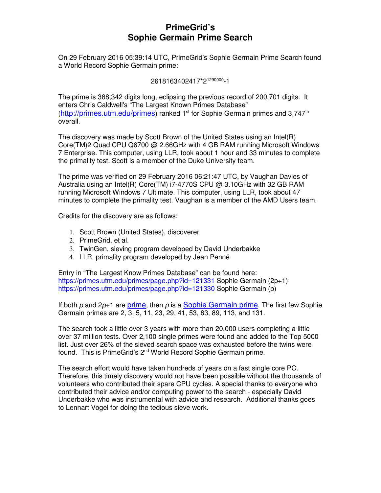## **PrimeGrid's Sophie Germain Prime Search**

On 29 February 2016 05:39:14 UTC, PrimeGrid's Sophie Germain Prime Search found a World Record Sophie Germain prime:

2618163402417\*2<sup>1290000</sup>-1

The prime is 388,342 digits long, eclipsing the previous record of 200,701 digits. It enters Chris Caldwell's "The Largest Known Primes Database" (http://primes.utm.edu/primes) ranked  $1<sup>st</sup>$  for Sophie Germain primes and 3,747<sup>th</sup> overall.

The discovery was made by Scott Brown of the United States using an Intel(R) Core(TM)2 Quad CPU Q6700 @ 2.66GHz with 4 GB RAM running Microsoft Windows 7 Enterprise. This computer, using LLR, took about 1 hour and 33 minutes to complete the primality test. Scott is a member of the Duke University team.

The prime was verified on 29 February 2016 06:21:47 UTC, by Vaughan Davies of Australia using an Intel(R) Core(TM) i7-4770S CPU @ 3.10GHz with 32 GB RAM running Microsoft Windows 7 Ultimate. This computer, using LLR, took about 47 minutes to complete the primality test. Vaughan is a member of the AMD Users team.

Credits for the discovery are as follows:

- 1. Scott Brown (United States), discoverer
- 2. PrimeGrid, et al.
- 3. TwinGen, sieving program developed by David Underbakke
- 4. LLR, primality program developed by Jean Penné

Entry in "The Largest Know Primes Database" can be found here: https://primes.utm.edu/primes/page.php?id=121331 Sophie Germain (2p+1) https://primes.utm.edu/primes/page.php?id=121330 Sophie Germain (p)

If both p and  $2p+1$  are prime, then p is a Sophie Germain prime. The first few Sophie Germain primes are 2, 3, 5, 11, 23, 29, 41, 53, 83, 89, 113, and 131.

The search took a little over 3 years with more than 20,000 users completing a little over 37 million tests. Over 2,100 single primes were found and added to the Top 5000 list. Just over 26% of the sieved search space was exhausted before the twins were found. This is PrimeGrid's 2nd World Record Sophie Germain prime.

The search effort would have taken hundreds of years on a fast single core PC. Therefore, this timely discovery would not have been possible without the thousands of volunteers who contributed their spare CPU cycles. A special thanks to everyone who contributed their advice and/or computing power to the search - especially David Underbakke who was instrumental with advice and research. Additional thanks goes to Lennart Vogel for doing the tedious sieve work.